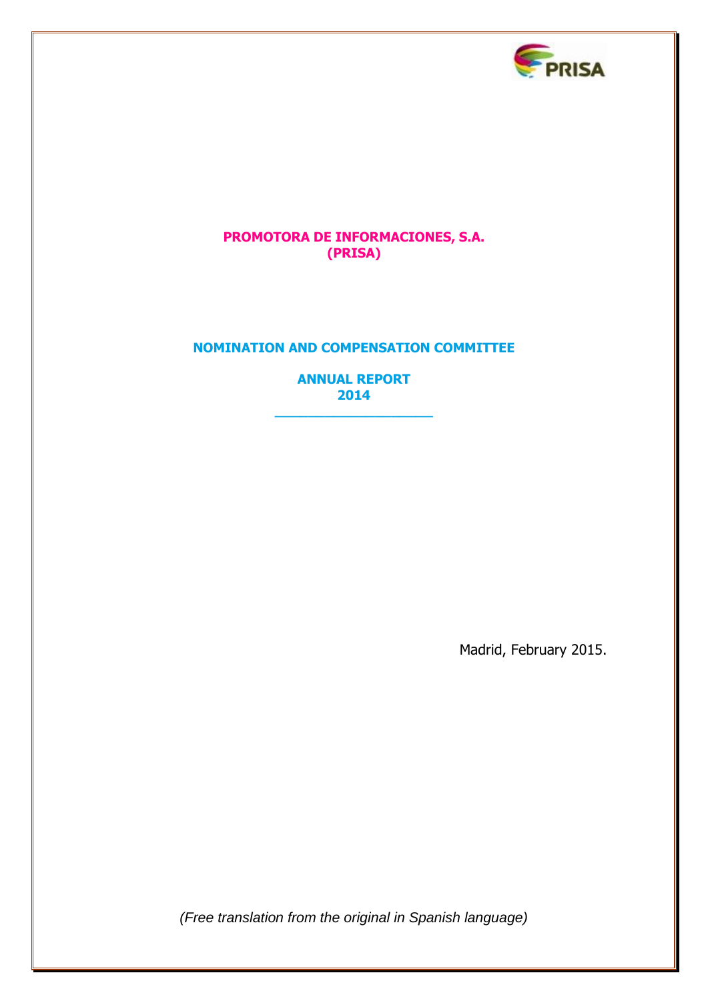

# **PROMOTORA DE INFORMACIONES, S.A. (PRISA)**

# **NOMINATION AND COMPENSATION COMMITTEE**

**ANNUAL REPORT 2014**

**\_\_\_\_\_\_\_\_\_\_\_\_\_\_\_\_\_\_\_**

Madrid, February 2015.

*(Free translation from the original in Spanish language)*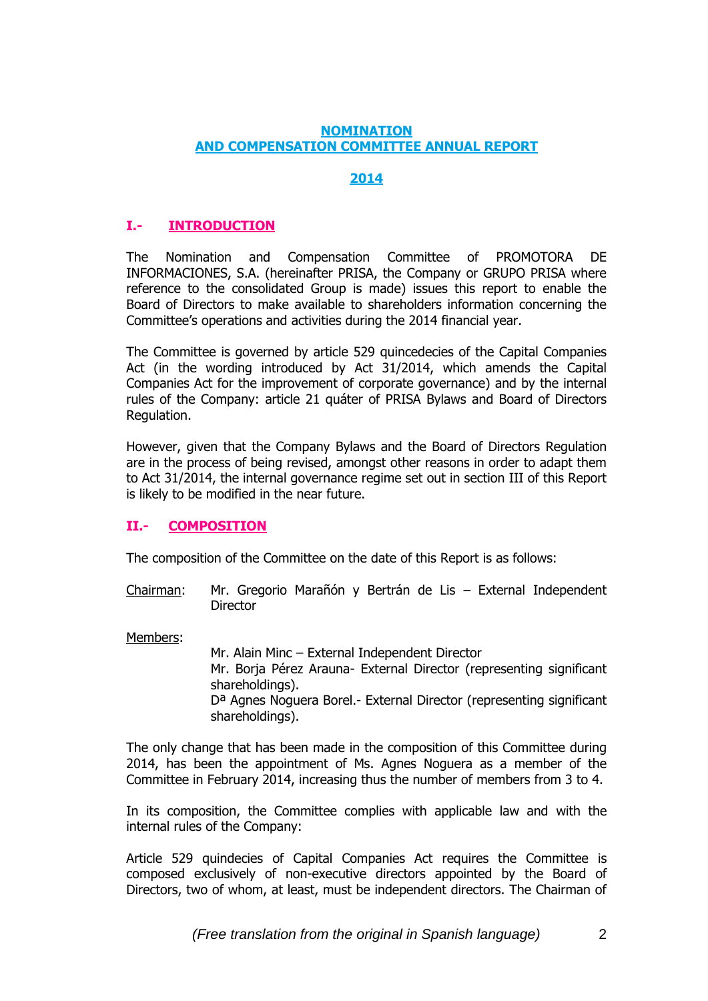### **NOMINATION AND COMPENSATION COMMITTEE ANNUAL REPORT**

# **2014**

# **I.- INTRODUCTION**

The Nomination and Compensation Committee of PROMOTORA DE INFORMACIONES, S.A. (hereinafter PRISA, the Company or GRUPO PRISA where reference to the consolidated Group is made) issues this report to enable the Board of Directors to make available to shareholders information concerning the Committee's operations and activities during the 2014 financial year.

The Committee is governed by article 529 quincedecies of the Capital Companies Act (in the wording introduced by Act 31/2014, which amends the Capital Companies Act for the improvement of corporate governance) and by the internal rules of the Company: article 21 quáter of PRISA Bylaws and Board of Directors Regulation.

However, given that the Company Bylaws and the Board of Directors Regulation are in the process of being revised, amongst other reasons in order to adapt them to Act 31/2014, the internal governance regime set out in section III of this Report is likely to be modified in the near future.

## **II.- COMPOSITION**

The composition of the Committee on the date of this Report is as follows:

Chairman: Mr. Gregorio Marañón y Bertrán de Lis – External Independent **Director** 

Members:

Mr. Alain Minc – External Independent Director Mr. Borja Pérez Arauna- External Director (representing significant shareholdings). Dª Agnes Noguera Borel.- External Director (representing significant shareholdings).

The only change that has been made in the composition of this Committee during 2014, has been the appointment of Ms. Agnes Noguera as a member of the Committee in February 2014, increasing thus the number of members from 3 to 4.

In its composition, the Committee complies with applicable law and with the internal rules of the Company:

Article 529 quindecies of Capital Companies Act requires the Committee is composed exclusively of non-executive directors appointed by the Board of Directors, two of whom, at least, must be independent directors. The Chairman of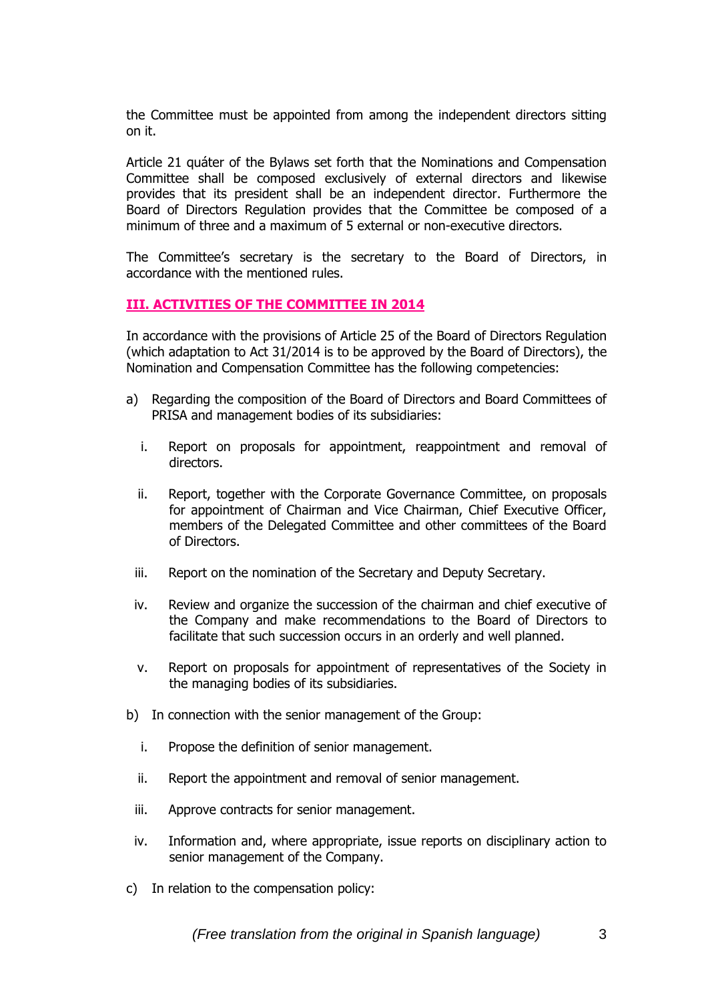the Committee must be appointed from among the independent directors sitting on it.

Article 21 quáter of the Bylaws set forth that the Nominations and Compensation Committee shall be composed exclusively of external directors and likewise provides that its president shall be an independent director. Furthermore the Board of Directors Regulation provides that the Committee be composed of a minimum of three and a maximum of 5 external or non-executive directors.

The Committee's secretary is the secretary to the Board of Directors, in accordance with the mentioned rules.

### **III. ACTIVITIES OF THE COMMITTEE IN 2014**

In accordance with the provisions of Article 25 of the Board of Directors Regulation (which adaptation to Act 31/2014 is to be approved by the Board of Directors), the Nomination and Compensation Committee has the following competencies:

- a) Regarding the composition of the Board of Directors and Board Committees of PRISA and management bodies of its subsidiaries:
	- i. Report on proposals for appointment, reappointment and removal of directors.
	- ii. Report, together with the Corporate Governance Committee, on proposals for appointment of Chairman and Vice Chairman, Chief Executive Officer, members of the Delegated Committee and other committees of the Board of Directors.
	- iii. Report on the nomination of the Secretary and Deputy Secretary.
	- iv. Review and organize the succession of the chairman and chief executive of the Company and make recommendations to the Board of Directors to facilitate that such succession occurs in an orderly and well planned.
	- v. Report on proposals for appointment of representatives of the Society in the managing bodies of its subsidiaries.
- b) In connection with the senior management of the Group:
	- i. Propose the definition of senior management.
	- ii. Report the appointment and removal of senior management.
	- iii. Approve contracts for senior management.
	- iv. Information and, where appropriate, issue reports on disciplinary action to senior management of the Company.
- c) In relation to the compensation policy: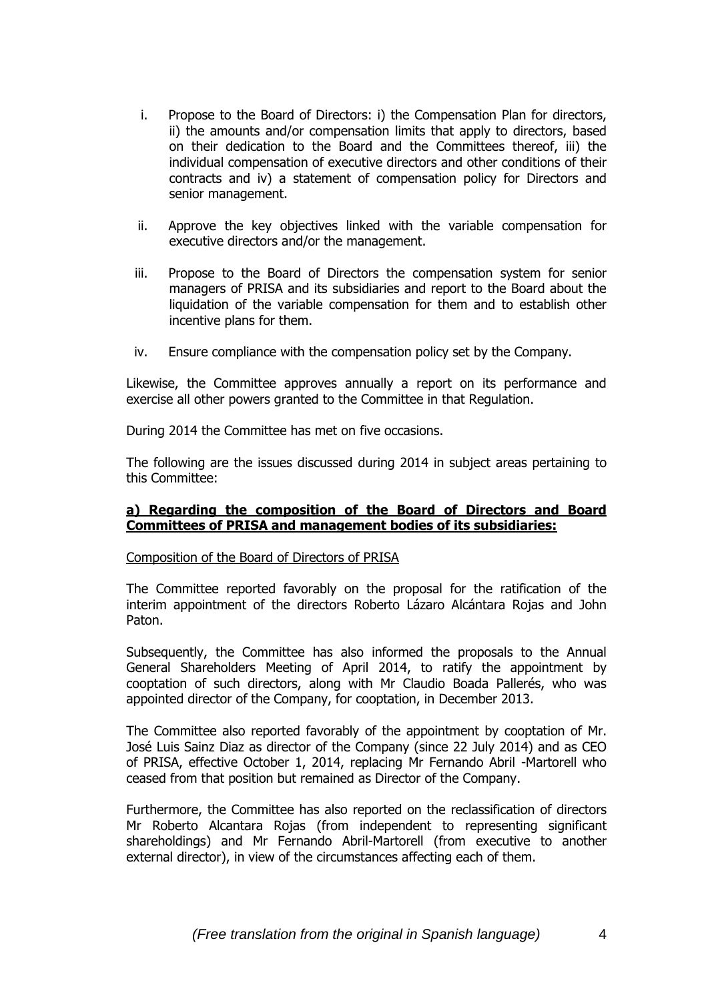- i. Propose to the Board of Directors: i) the Compensation Plan for directors, ii) the amounts and/or compensation limits that apply to directors, based on their dedication to the Board and the Committees thereof, iii) the individual compensation of executive directors and other conditions of their contracts and iv) a statement of compensation policy for Directors and senior management.
- ii. Approve the key objectives linked with the variable compensation for executive directors and/or the management.
- iii. Propose to the Board of Directors the compensation system for senior managers of PRISA and its subsidiaries and report to the Board about the liquidation of the variable compensation for them and to establish other incentive plans for them.
- iv. Ensure compliance with the compensation policy set by the Company.

Likewise, the Committee approves annually a report on its performance and exercise all other powers granted to the Committee in that Regulation.

During 2014 the Committee has met on five occasions.

The following are the issues discussed during 2014 in subject areas pertaining to this Committee:

## **a) Regarding the composition of the Board of Directors and Board Committees of PRISA and management bodies of its subsidiaries:**

### Composition of the Board of Directors of PRISA

The Committee reported favorably on the proposal for the ratification of the interim appointment of the directors Roberto Lázaro Alcántara Rojas and John Paton.

Subsequently, the Committee has also informed the proposals to the Annual General Shareholders Meeting of April 2014, to ratify the appointment by cooptation of such directors, along with Mr Claudio Boada Pallerés, who was appointed director of the Company, for cooptation, in December 2013.

The Committee also reported favorably of the appointment by cooptation of Mr. José Luis Sainz Diaz as director of the Company (since 22 July 2014) and as CEO of PRISA, effective October 1, 2014, replacing Mr Fernando Abril -Martorell who ceased from that position but remained as Director of the Company.

Furthermore, the Committee has also reported on the reclassification of directors Mr Roberto Alcantara Rojas (from independent to representing significant shareholdings) and Mr Fernando Abril-Martorell (from executive to another external director), in view of the circumstances affecting each of them.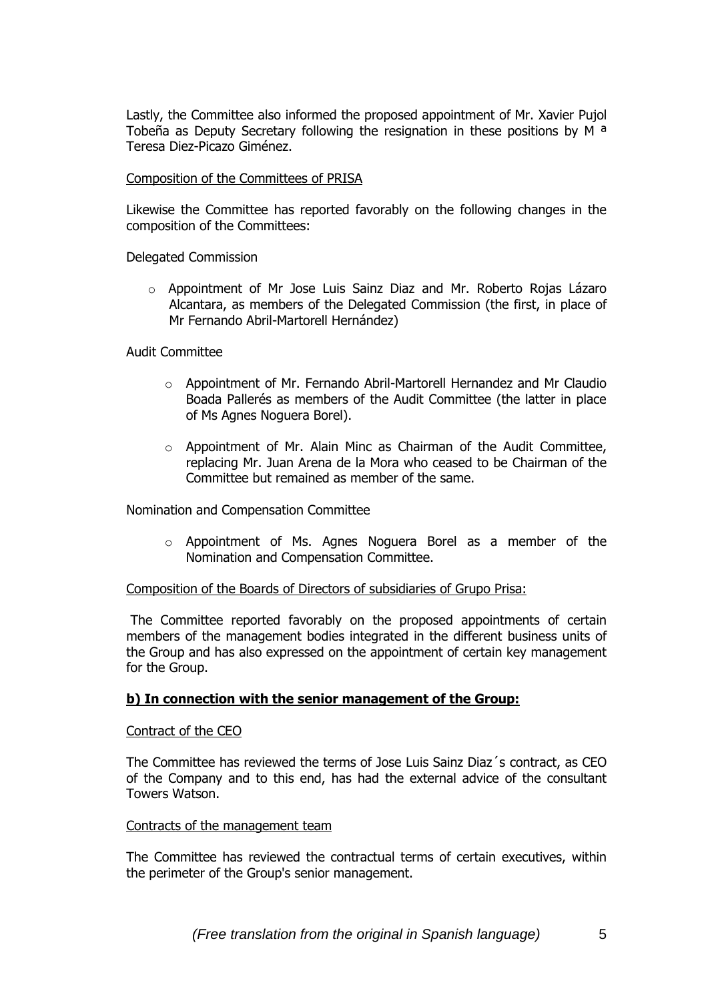Lastly, the Committee also informed the proposed appointment of Mr. Xavier Pujol Tobeña as Deputy Secretary following the resignation in these positions by M  $a$ Teresa Diez-Picazo Giménez.

### Composition of the Committees of PRISA

Likewise the Committee has reported favorably on the following changes in the composition of the Committees:

Delegated Commission

 $\circ$  Appointment of Mr Jose Luis Sainz Diaz and Mr. Roberto Rojas Lázaro Alcantara, as members of the Delegated Commission (the first, in place of Mr Fernando Abril-Martorell Hernández)

Audit Committee

- o Appointment of Mr. Fernando Abril-Martorell Hernandez and Mr Claudio Boada Pallerés as members of the Audit Committee (the latter in place of Ms Agnes Noguera Borel).
- $\circ$  Appointment of Mr. Alain Minc as Chairman of the Audit Committee, replacing Mr. Juan Arena de la Mora who ceased to be Chairman of the Committee but remained as member of the same.

Nomination and Compensation Committee

o Appointment of Ms. Agnes Noguera Borel as a member of the Nomination and Compensation Committee.

### Composition of the Boards of Directors of subsidiaries of Grupo Prisa:

The Committee reported favorably on the proposed appointments of certain members of the management bodies integrated in the different business units of the Group and has also expressed on the appointment of certain key management for the Group.

### **b) In connection with the senior management of the Group:**

### Contract of the CEO

The Committee has reviewed the terms of Jose Luis Sainz Diaz´s contract, as CEO of the Company and to this end, has had the external advice of the consultant Towers Watson.

## Contracts of the management team

The Committee has reviewed the contractual terms of certain executives, within the perimeter of the Group's senior management.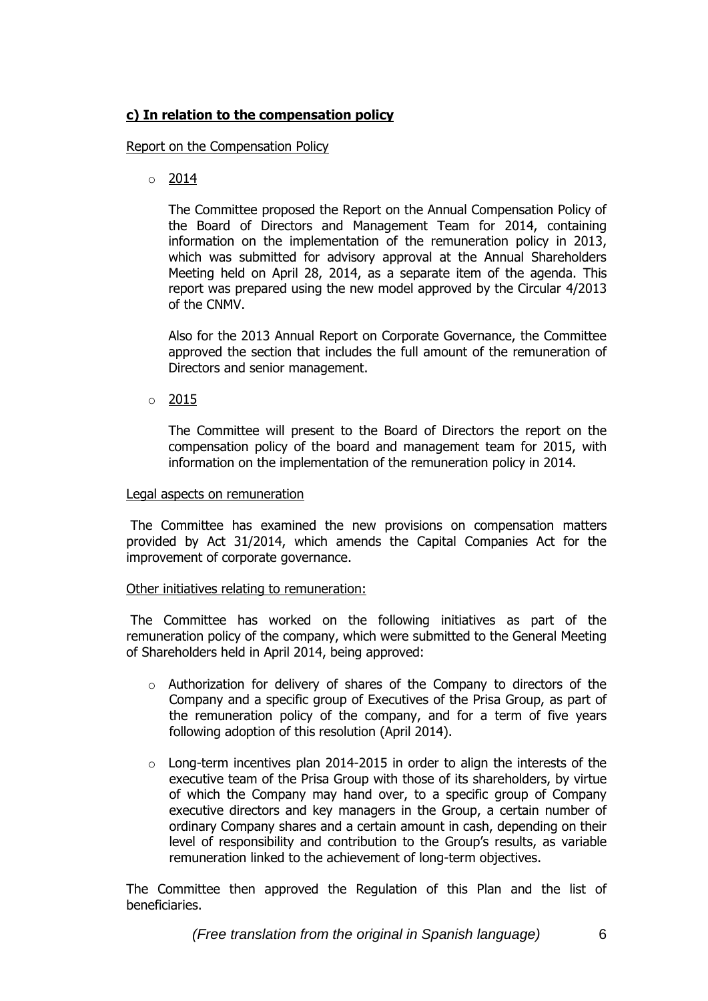# **c) In relation to the compensation policy**

## Report on the Compensation Policy

 $\circ$  2014

The Committee proposed the Report on the Annual Compensation Policy of the Board of Directors and Management Team for 2014, containing information on the implementation of the remuneration policy in 2013, which was submitted for advisory approval at the Annual Shareholders Meeting held on April 28, 2014, as a separate item of the agenda. This report was prepared using the new model approved by the Circular 4/2013 of the CNMV.

Also for the 2013 Annual Report on Corporate Governance, the Committee approved the section that includes the full amount of the remuneration of Directors and senior management.

 $\circ$  2015

The Committee will present to the Board of Directors the report on the compensation policy of the board and management team for 2015, with information on the implementation of the remuneration policy in 2014.

### Legal aspects on remuneration

The Committee has examined the new provisions on compensation matters provided by Act 31/2014, which amends the Capital Companies Act for the improvement of corporate governance.

## Other initiatives relating to remuneration:

The Committee has worked on the following initiatives as part of the remuneration policy of the company, which were submitted to the General Meeting of Shareholders held in April 2014, being approved:

- o Authorization for delivery of shares of the Company to directors of the Company and a specific group of Executives of the Prisa Group, as part of the remuneration policy of the company, and for a term of five years following adoption of this resolution (April 2014).
- $\circ$  Long-term incentives plan 2014-2015 in order to align the interests of the executive team of the Prisa Group with those of its shareholders, by virtue of which the Company may hand over, to a specific group of Company executive directors and key managers in the Group, a certain number of ordinary Company shares and a certain amount in cash, depending on their level of responsibility and contribution to the Group's results, as variable remuneration linked to the achievement of long-term objectives.

The Committee then approved the Regulation of this Plan and the list of beneficiaries.